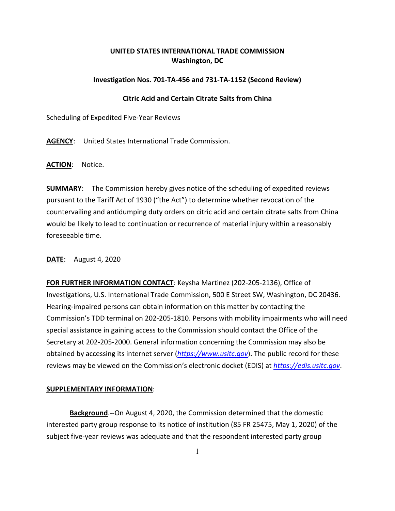## **UNITED STATES INTERNATIONAL TRADE COMMISSION Washington, DC**

## **Investigation Nos. 701-TA-456 and 731-TA-1152 (Second Review)**

## **Citric Acid and Certain Citrate Salts from China**

Scheduling of Expedited Five-Year Reviews

**AGENCY**: United States International Trade Commission.

**ACTION**: Notice.

**SUMMARY**: The Commission hereby gives notice of the scheduling of expedited reviews pursuant to the Tariff Act of 1930 ("the Act") to determine whether revocation of the countervailing and antidumping duty orders on citric acid and certain citrate salts from China would be likely to lead to continuation or recurrence of material injury within a reasonably foreseeable time.

**DATE**: August 4, 2020

**FOR FURTHER INFORMATION CONTACT**: Keysha Martinez (202-205-2136), Office of Investigations, U.S. International Trade Commission, 500 E Street SW, Washington, DC 20436. Hearing-impaired persons can obtain information on this matter by contacting the Commission's TDD terminal on 202-205-1810. Persons with mobility impairments who will need special assistance in gaining access to the Commission should contact the Office of the Secretary at 202-205-2000. General information concerning the Commission may also be obtained by accessing its internet server (*[https://www.usitc.gov](https://www.usitc.gov/)*). The public record for these reviews may be viewed on the Commission's electronic docket (EDIS) at *[https://edis.usitc.gov](https://edis.usitc.gov/)*.

## **SUPPLEMENTARY INFORMATION**:

**Background**.--On August 4, 2020, the Commission determined that the domestic interested party group response to its notice of institution (85 FR 25475, May 1, 2020) of the subject five-year reviews was adequate and that the respondent interested party group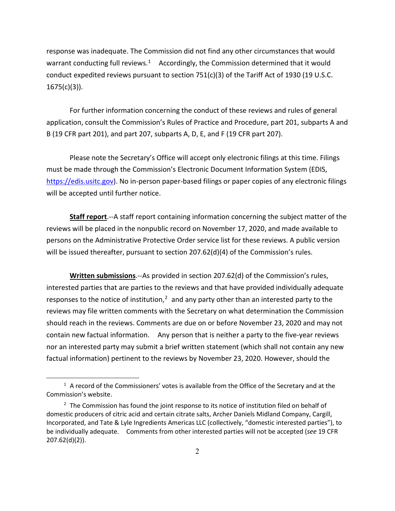response was inadequate. The Commission did not find any other circumstances that would warrant conducting full reviews.<sup>1</sup> Accordingly, the Commission determined that it would conduct expedited reviews pursuant to section  $751(c)(3)$  of the Tariff Act of 1930 (19 U.S.C.  $1675(c)(3)$ ).

For further information concerning the conduct of these reviews and rules of general application, consult the Commission's Rules of Practice and Procedure, part 201, subparts A and B (19 CFR part 201), and part 207, subparts A, D, E, and F (19 CFR part 207).

Please note the Secretary's Office will accept only electronic filings at this time. Filings must be made through the Commission's Electronic Document Information System (EDIS, [https://edis.usitc.gov\)](https://edis.usitc.gov/). No in-person paper-based filings or paper copies of any electronic filings will be accepted until further notice.

**Staff report**.--A staff report containing information concerning the subject matter of the reviews will be placed in the nonpublic record on November 17, 2020, and made available to persons on the Administrative Protective Order service list for these reviews. A public version will be issued thereafter, pursuant to section 207.62(d)(4) of the Commission's rules.

**Written submissions**.--As provided in section 207.62(d) of the Commission's rules, interested parties that are parties to the reviews and that have provided individually adequate responses to the notice of institution, $<sup>2</sup>$  $<sup>2</sup>$  $<sup>2</sup>$  and any party other than an interested party to the</sup> reviews may file written comments with the Secretary on what determination the Commission should reach in the reviews. Comments are due on or before November 23, 2020 and may not contain new factual information. Any person that is neither a party to the five-year reviews nor an interested party may submit a brief written statement (which shall not contain any new factual information) pertinent to the reviews by November 23, 2020. However, should the

<span id="page-1-0"></span> $<sup>1</sup>$  A record of the Commissioners' votes is available from the Office of the Secretary and at the</sup> Commission's website.

<span id="page-1-1"></span> $2$  The Commission has found the joint response to its notice of institution filed on behalf of domestic producers of citric acid and certain citrate salts, Archer Daniels Midland Company, Cargill, Incorporated, and Tate & Lyle Ingredients Americas LLC (collectively, "domestic interested parties"), to be individually adequate. Comments from other interested parties will not be accepted (*see* 19 CFR 207.62(d)(2)).